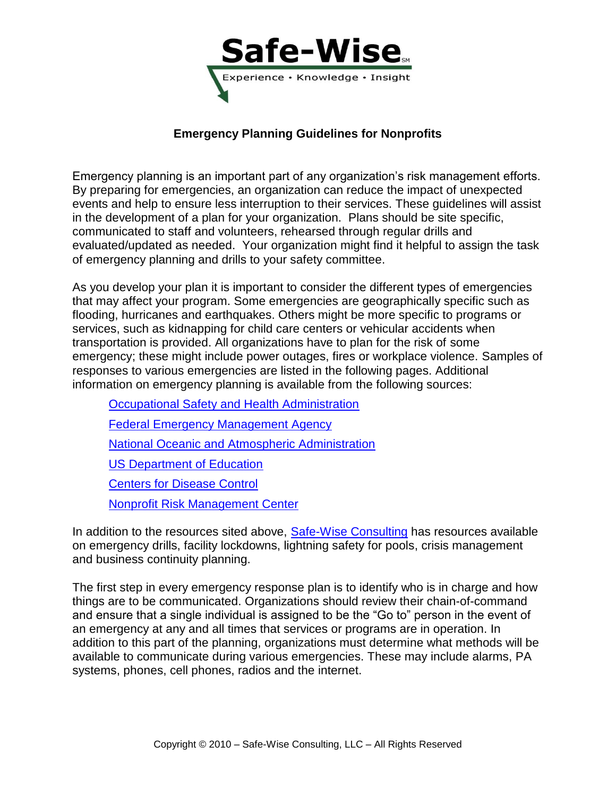

# **Emergency Planning Guidelines for Nonprofits**

Emergency planning is an important part of any organization's risk management efforts. By preparing for emergencies, an organization can reduce the impact of unexpected events and help to ensure less interruption to their services. These guidelines will assist in the development of a plan for your organization. Plans should be site specific, communicated to staff and volunteers, rehearsed through regular drills and evaluated/updated as needed. Your organization might find it helpful to assign the task of emergency planning and drills to your safety committee.

As you develop your plan it is important to consider the different types of emergencies that may affect your program. Some emergencies are geographically specific such as flooding, hurricanes and earthquakes. Others might be more specific to programs or services, such as kidnapping for child care centers or vehicular accidents when transportation is provided. All organizations have to plan for the risk of some emergency; these might include power outages, fires or workplace violence. Samples of responses to various emergencies are listed in the following pages. Additional information on emergency planning is available from the following sources:

[Occupational Safety and Health Administration](http://www.osha.gov/SLTC/emergencypreparedness/index.html) [Federal Emergency Management Agency](http://www.fema.gov/plan/index.shtm) [National Oceanic and Atmospheric Administration](http://www.noaa.gov/) [US Department of Education](http://www.ed.gov/admins/lead/safety/emergencyplan/index.html) [Centers for Disease Control](http://emergency.cdc.gov/planning) [Nonprofit Risk Management Center](http://nonprofitrisk.org/library/fact-sheets/fact-sheets.shtml)

In addition to the resources sited above, [Safe-Wise Consulting](http://safe-wise.com/risk-management/resource-library-main.html) has resources available on emergency drills, facility lockdowns, lightning safety for pools, crisis management and business continuity planning.

The first step in every emergency response plan is to identify who is in charge and how things are to be communicated. Organizations should review their chain-of-command and ensure that a single individual is assigned to be the "Go to" person in the event of an emergency at any and all times that services or programs are in operation. In addition to this part of the planning, organizations must determine what methods will be available to communicate during various emergencies. These may include alarms, PA systems, phones, cell phones, radios and the internet.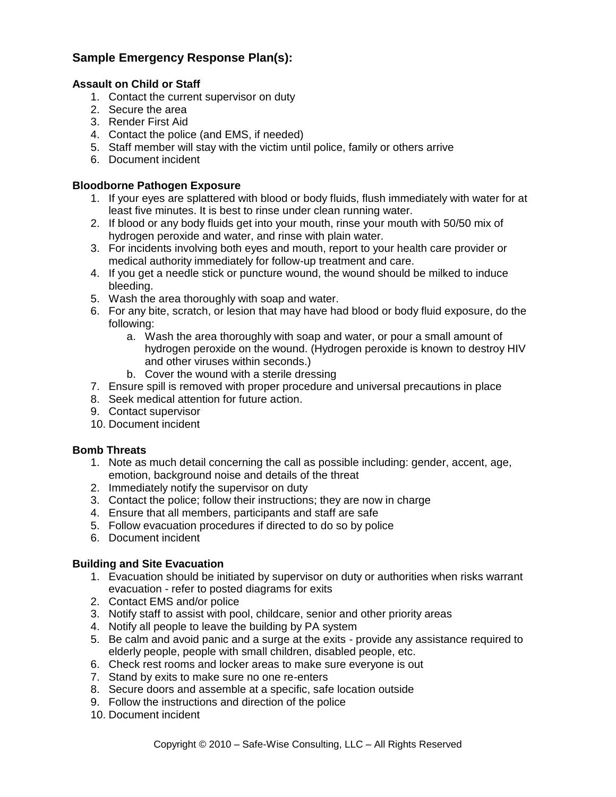# **Sample Emergency Response Plan(s):**

### **Assault on Child or Staff**

- 1. Contact the current supervisor on duty
- 2. Secure the area
- 3. Render First Aid
- 4. Contact the police (and EMS, if needed)
- 5. Staff member will stay with the victim until police, family or others arrive
- 6. Document incident

### **Bloodborne Pathogen Exposure**

- 1. If your eyes are splattered with blood or body fluids, flush immediately with water for at least five minutes. It is best to rinse under clean running water.
- 2. If blood or any body fluids get into your mouth, rinse your mouth with 50/50 mix of hydrogen peroxide and water, and rinse with plain water.
- 3. For incidents involving both eyes and mouth, report to your health care provider or medical authority immediately for follow-up treatment and care.
- 4. If you get a needle stick or puncture wound, the wound should be milked to induce bleeding.
- 5. Wash the area thoroughly with soap and water.
- 6. For any bite, scratch, or lesion that may have had blood or body fluid exposure, do the following:
	- a. Wash the area thoroughly with soap and water, or pour a small amount of hydrogen peroxide on the wound. (Hydrogen peroxide is known to destroy HIV and other viruses within seconds.)
	- b. Cover the wound with a sterile dressing
- 7. Ensure spill is removed with proper procedure and universal precautions in place
- 8. Seek medical attention for future action.
- 9. Contact supervisor
- 10. Document incident

### **Bomb Threats**

- 1. Note as much detail concerning the call as possible including: gender, accent, age, emotion, background noise and details of the threat
- 2. Immediately notify the supervisor on duty
- 3. Contact the police; follow their instructions; they are now in charge
- 4. Ensure that all members, participants and staff are safe
- 5. Follow evacuation procedures if directed to do so by police
- 6. Document incident

## **Building and Site Evacuation**

- 1. Evacuation should be initiated by supervisor on duty or authorities when risks warrant evacuation - refer to posted diagrams for exits
- 2. Contact EMS and/or police
- 3. Notify staff to assist with pool, childcare, senior and other priority areas
- 4. Notify all people to leave the building by PA system
- 5. Be calm and avoid panic and a surge at the exits provide any assistance required to elderly people, people with small children, disabled people, etc.
- 6. Check rest rooms and locker areas to make sure everyone is out
- 7. Stand by exits to make sure no one re-enters
- 8. Secure doors and assemble at a specific, safe location outside
- 9. Follow the instructions and direction of the police
- 10. Document incident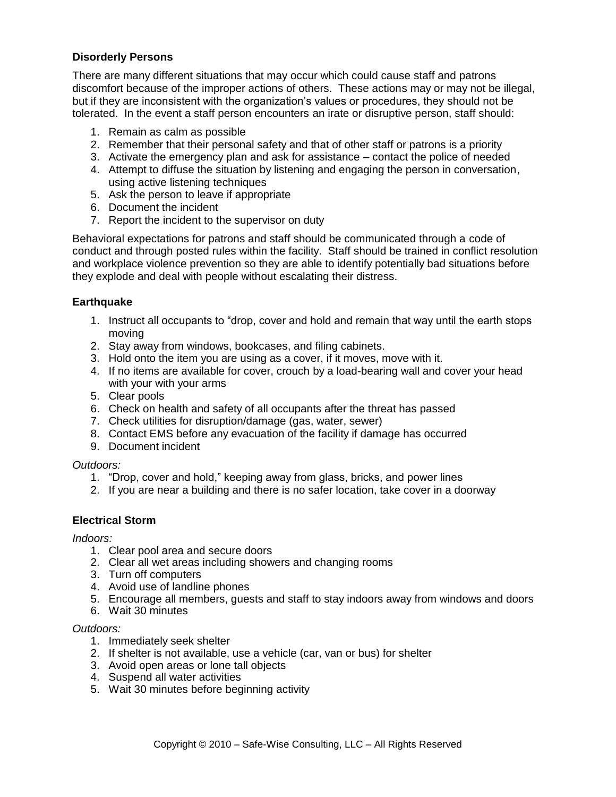## **Disorderly Persons**

There are many different situations that may occur which could cause staff and patrons discomfort because of the improper actions of others. These actions may or may not be illegal, but if they are inconsistent with the organization's values or procedures, they should not be tolerated. In the event a staff person encounters an irate or disruptive person, staff should:

- 1. Remain as calm as possible
- 2. Remember that their personal safety and that of other staff or patrons is a priority
- 3. Activate the emergency plan and ask for assistance contact the police of needed
- 4. Attempt to diffuse the situation by listening and engaging the person in conversation, using active listening techniques
- 5. Ask the person to leave if appropriate
- 6. Document the incident
- 7. Report the incident to the supervisor on duty

Behavioral expectations for patrons and staff should be communicated through a code of conduct and through posted rules within the facility. Staff should be trained in conflict resolution and workplace violence prevention so they are able to identify potentially bad situations before they explode and deal with people without escalating their distress.

### **Earthquake**

- 1. Instruct all occupants to "drop, cover and hold and remain that way until the earth stops moving
- 2. Stay away from windows, bookcases, and filing cabinets.
- 3. Hold onto the item you are using as a cover, if it moves, move with it.
- 4. If no items are available for cover, crouch by a load-bearing wall and cover your head with your with your arms
- 5. Clear pools
- 6. Check on health and safety of all occupants after the threat has passed
- 7. Check utilities for disruption/damage (gas, water, sewer)
- 8. Contact EMS before any evacuation of the facility if damage has occurred
- 9. Document incident

*Outdoors:*

- 1. "Drop, cover and hold," keeping away from glass, bricks, and power lines
- 2. If you are near a building and there is no safer location, take cover in a doorway

### **Electrical Storm**

*Indoors:*

- 1. Clear pool area and secure doors
- 2. Clear all wet areas including showers and changing rooms
- 3. Turn off computers
- 4. Avoid use of landline phones
- 5. Encourage all members, guests and staff to stay indoors away from windows and doors
- 6. Wait 30 minutes

### *Outdoors:*

- 1. Immediately seek shelter
- 2. If shelter is not available, use a vehicle (car, van or bus) for shelter
- 3. Avoid open areas or lone tall objects
- 4. Suspend all water activities
- 5. Wait 30 minutes before beginning activity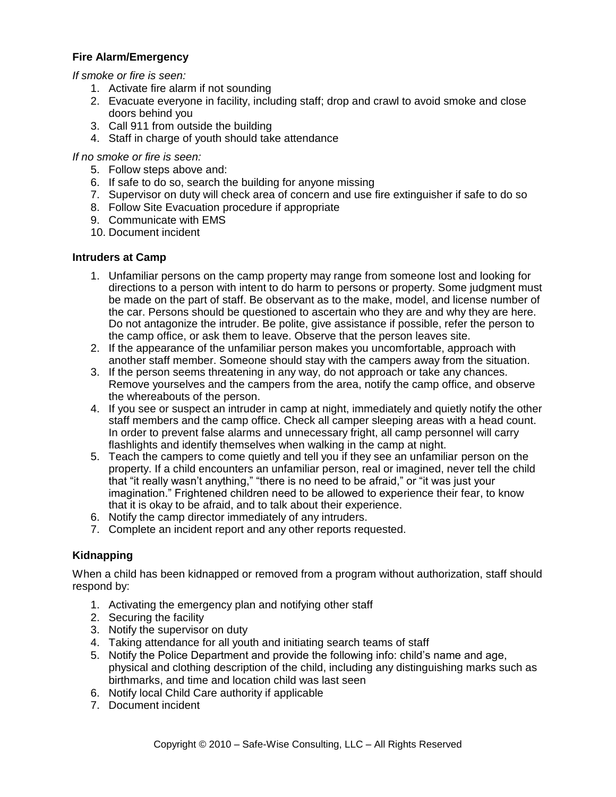## **Fire Alarm/Emergency**

*If smoke or fire is seen:*

- 1. Activate fire alarm if not sounding
- 2. Evacuate everyone in facility, including staff; drop and crawl to avoid smoke and close doors behind you
- 3. Call 911 from outside the building
- 4. Staff in charge of youth should take attendance

### *If no smoke or fire is seen:*

- 5. Follow steps above and:
- 6. If safe to do so, search the building for anyone missing
- 7. Supervisor on duty will check area of concern and use fire extinguisher if safe to do so
- 8. Follow Site Evacuation procedure if appropriate
- 9. Communicate with EMS
- 10. Document incident

## **Intruders at Camp**

- 1. Unfamiliar persons on the camp property may range from someone lost and looking for directions to a person with intent to do harm to persons or property. Some judgment must be made on the part of staff. Be observant as to the make, model, and license number of the car. Persons should be questioned to ascertain who they are and why they are here. Do not antagonize the intruder. Be polite, give assistance if possible, refer the person to the camp office, or ask them to leave. Observe that the person leaves site.
- 2. If the appearance of the unfamiliar person makes you uncomfortable, approach with another staff member. Someone should stay with the campers away from the situation.
- 3. If the person seems threatening in any way, do not approach or take any chances. Remove yourselves and the campers from the area, notify the camp office, and observe the whereabouts of the person.
- 4. If you see or suspect an intruder in camp at night, immediately and quietly notify the other staff members and the camp office. Check all camper sleeping areas with a head count. In order to prevent false alarms and unnecessary fright, all camp personnel will carry flashlights and identify themselves when walking in the camp at night.
- 5. Teach the campers to come quietly and tell you if they see an unfamiliar person on the property. If a child encounters an unfamiliar person, real or imagined, never tell the child that "it really wasn't anything," "there is no need to be afraid," or "it was just your imagination." Frightened children need to be allowed to experience their fear, to know that it is okay to be afraid, and to talk about their experience.
- 6. Notify the camp director immediately of any intruders.
- 7. Complete an incident report and any other reports requested.

## **Kidnapping**

When a child has been kidnapped or removed from a program without authorization, staff should respond by:

- 1. Activating the emergency plan and notifying other staff
- 2. Securing the facility
- 3. Notify the supervisor on duty
- 4. Taking attendance for all youth and initiating search teams of staff
- 5. Notify the Police Department and provide the following info: child's name and age, physical and clothing description of the child, including any distinguishing marks such as birthmarks, and time and location child was last seen
- 6. Notify local Child Care authority if applicable
- 7. Document incident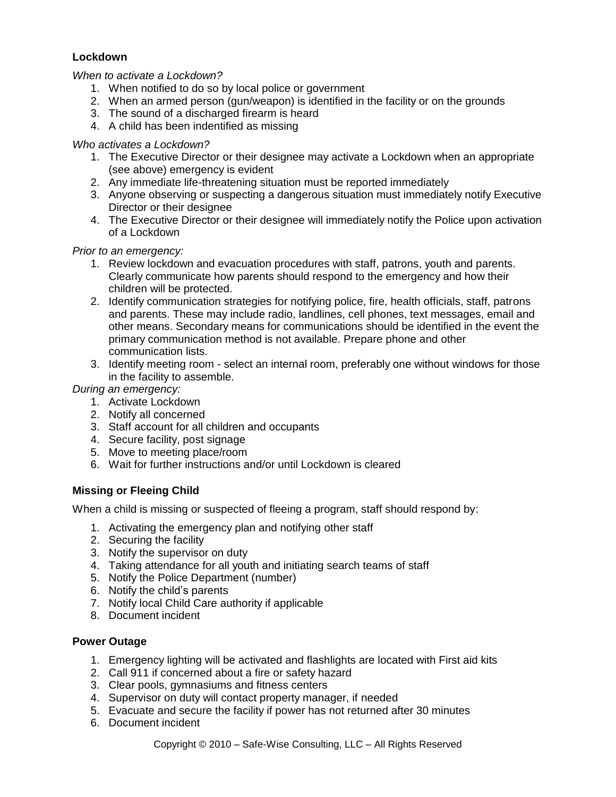## **Lockdown**

### *When to activate a Lockdown?*

- 1. When notified to do so by local police or government
- 2. When an armed person (gun/weapon) is identified in the facility or on the grounds
- 3. The sound of a discharged firearm is heard
- 4. A child has been indentified as missing

### *Who activates a Lockdown?*

- 1. The Executive Director or their designee may activate a Lockdown when an appropriate (see above) emergency is evident
- 2. Any immediate life-threatening situation must be reported immediately
- 3. Anyone observing or suspecting a dangerous situation must immediately notify Executive Director or their designee
- 4. The Executive Director or their designee will immediately notify the Police upon activation of a Lockdown

## *Prior to an emergency:*

- 1. Review lockdown and evacuation procedures with staff, patrons, youth and parents. Clearly communicate how parents should respond to the emergency and how their children will be protected.
- 2. Identify communication strategies for notifying police, fire, health officials, staff, patrons and parents. These may include radio, landlines, cell phones, text messages, email and other means. Secondary means for communications should be identified in the event the primary communication method is not available. Prepare phone and other communication lists.
- 3. Identify meeting room select an internal room, preferably one without windows for those in the facility to assemble.

*During an emergency:*

- 1. Activate Lockdown
- 2. Notify all concerned
- 3. Staff account for all children and occupants
- 4. Secure facility, post signage
- 5. Move to meeting place/room
- 6. Wait for further instructions and/or until Lockdown is cleared

## **Missing or Fleeing Child**

When a child is missing or suspected of fleeing a program, staff should respond by:

- 1. Activating the emergency plan and notifying other staff
- 2. Securing the facility
- 3. Notify the supervisor on duty
- 4. Taking attendance for all youth and initiating search teams of staff
- 5. Notify the Police Department (number)
- 6. Notify the child's parents
- 7. Notify local Child Care authority if applicable
- 8. Document incident

## **Power Outage**

- 1. Emergency lighting will be activated and flashlights are located with First aid kits
- 2. Call 911 if concerned about a fire or safety hazard
- 3. Clear pools, gymnasiums and fitness centers
- 4. Supervisor on duty will contact property manager, if needed
- 5. Evacuate and secure the facility if power has not returned after 30 minutes
- 6. Document incident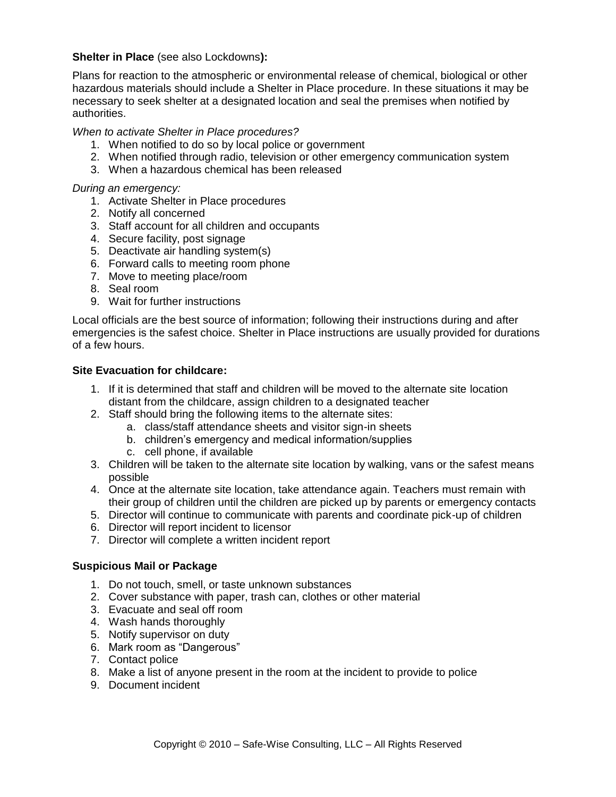### **Shelter in Place** (see also Lockdowns**):**

Plans for reaction to the atmospheric or environmental release of chemical, biological or other hazardous materials should include a Shelter in Place procedure. In these situations it may be necessary to seek shelter at a designated location and seal the premises when notified by authorities.

*When to activate Shelter in Place procedures?*

- 1. When notified to do so by local police or government
- 2. When notified through radio, television or other emergency communication system
- 3. When a hazardous chemical has been released

### *During an emergency:*

- 1. Activate Shelter in Place procedures
- 2. Notify all concerned
- 3. Staff account for all children and occupants
- 4. Secure facility, post signage
- 5. Deactivate air handling system(s)
- 6. Forward calls to meeting room phone
- 7. Move to meeting place/room
- 8. Seal room
- 9. Wait for further instructions

Local officials are the best source of information; following their instructions during and after emergencies is the safest choice. Shelter in Place instructions are usually provided for durations of a few hours.

### **Site Evacuation for childcare:**

- 1. If it is determined that staff and children will be moved to the alternate site location distant from the childcare, assign children to a designated teacher
- 2. Staff should bring the following items to the alternate sites:
	- a. class/staff attendance sheets and visitor sign-in sheets
	- b. children's emergency and medical information/supplies
	- c. cell phone, if available
- 3. Children will be taken to the alternate site location by walking, vans or the safest means possible
- 4. Once at the alternate site location, take attendance again. Teachers must remain with their group of children until the children are picked up by parents or emergency contacts
- 5. Director will continue to communicate with parents and coordinate pick-up of children
- 6. Director will report incident to licensor
- 7. Director will complete a written incident report

### **Suspicious Mail or Package**

- 1. Do not touch, smell, or taste unknown substances
- 2. Cover substance with paper, trash can, clothes or other material
- 3. Evacuate and seal off room
- 4. Wash hands thoroughly
- 5. Notify supervisor on duty
- 6. Mark room as "Dangerous"
- 7. Contact police
- 8. Make a list of anyone present in the room at the incident to provide to police
- 9. Document incident